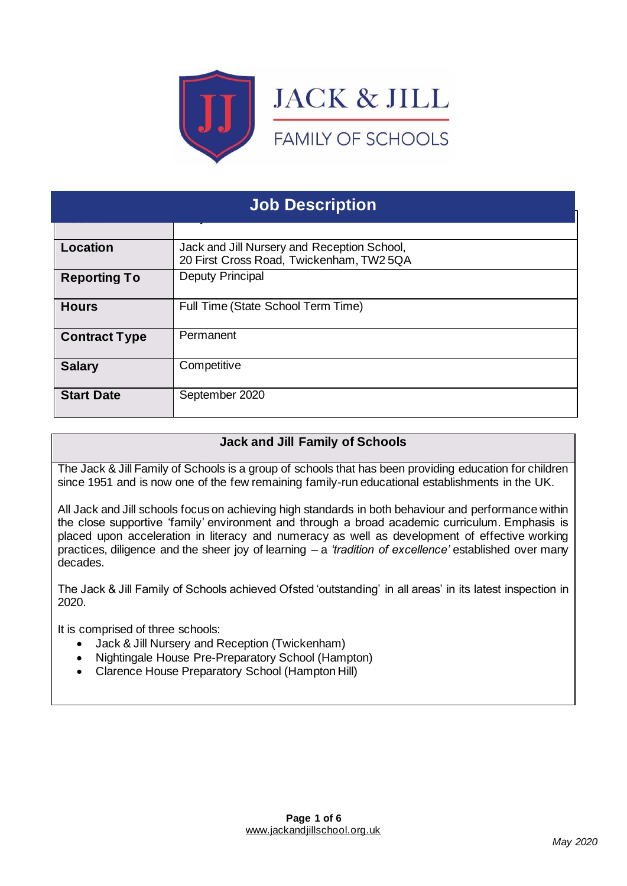

| <b>Job Description</b> |                                                                                         |  |  |  |
|------------------------|-----------------------------------------------------------------------------------------|--|--|--|
|                        |                                                                                         |  |  |  |
| <b>Location</b>        | Jack and Jill Nursery and Reception School,<br>20 First Cross Road, Twickenham, TW2 5QA |  |  |  |
| <b>Reporting To</b>    | <b>Deputy Principal</b>                                                                 |  |  |  |
| <b>Hours</b>           | Full Time (State School Term Time)                                                      |  |  |  |
| <b>Contract Type</b>   | Permanent                                                                               |  |  |  |
| <b>Salary</b>          | Competitive                                                                             |  |  |  |
| <b>Start Date</b>      | September 2020                                                                          |  |  |  |

# **Jack and Jill Family of Schools**

The Jack & Jill Family of Schools is a group of schools that has been providing education for children since 1951 and is now one of the few remaining family-run educational establishments in the UK.

All Jack and Jill schools focus on achieving high standards in both behaviour and performance within the close supportive 'family' environment and through a broad academic curriculum. Emphasis is placed upon acceleration in literacy and numeracy as well as development of effective working practices, diligence and the sheer joy of learning – a *'tradition of excellence'* established over many decades.

The Jack & Jill Family of Schools achieved Ofsted 'outstanding' in all areas' in its latest inspection in 2020.

It is comprised of three schools:

- Jack & Jill Nursery and Reception (Twickenham)
- Nightingale House Pre-Preparatory School (Hampton)
- Clarence House Preparatory School (Hampton Hill)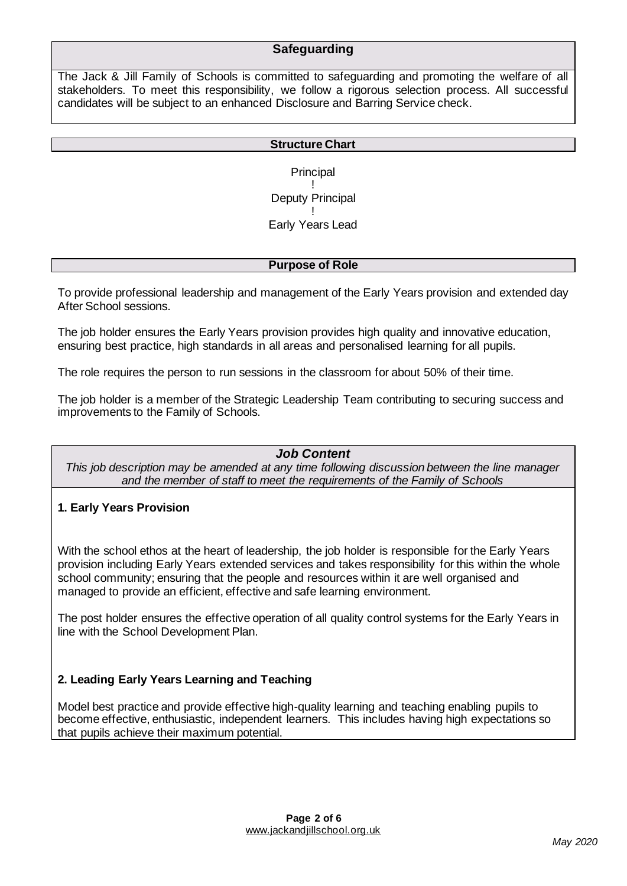# **Safeguarding**

The Jack & Jill Family of Schools is committed to safeguarding and promoting the welfare of all stakeholders. To meet this responsibility, we follow a rigorous selection process. All successful candidates will be subject to an enhanced Disclosure and Barring Service check.

#### **Structure Chart**

**Principal** ! Deputy Principal ! Early Years Lead

#### **Purpose of Role**

To provide professional leadership and management of the Early Years provision and extended day After School sessions.

The job holder ensures the Early Years provision provides high quality and innovative education, ensuring best practice, high standards in all areas and personalised learning for all pupils.

The role requires the person to run sessions in the classroom for about 50% of their time.

The job holder is a member of the Strategic Leadership Team contributing to securing success and improvements to the Family of Schools.

### *Job Content*

*This job description may be amended at any time following discussion between the line manager and the member of staff to meet the requirements of the Family of Schools*

### **1. Early Years Provision**

With the school ethos at the heart of leadership, the job holder is responsible for the Early Years provision including Early Years extended services and takes responsibility for this within the whole school community; ensuring that the people and resources within it are well organised and managed to provide an efficient, effective and safe learning environment.

The post holder ensures the effective operation of all quality control systems for the Early Years in line with the School Development Plan.

### **2. Leading Early Years Learning and Teaching**

Model best practice and provide effective high-quality learning and teaching enabling pupils to become effective, enthusiastic, independent learners. This includes having high expectations so that pupils achieve their maximum potential.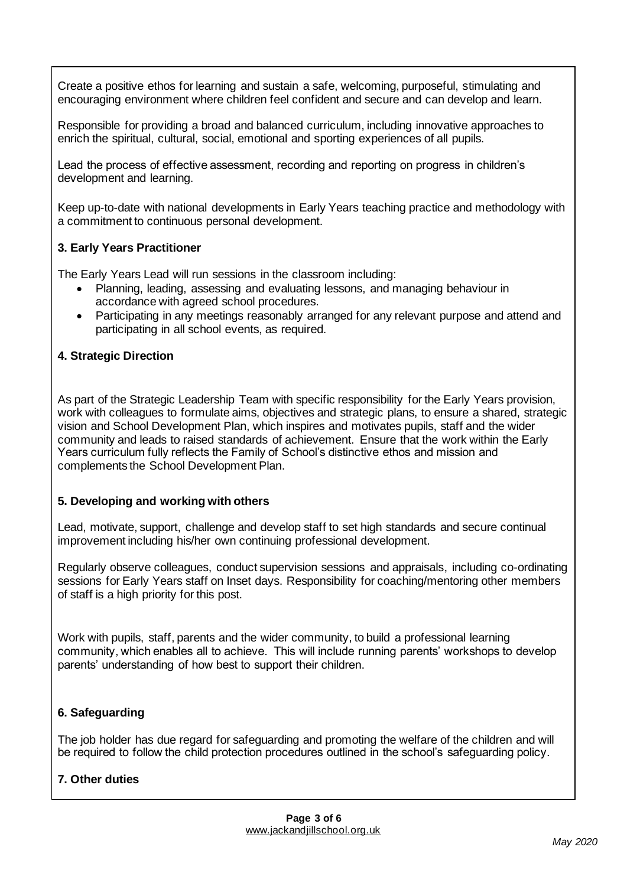Create a positive ethos for learning and sustain a safe, welcoming, purposeful, stimulating and encouraging environment where children feel confident and secure and can develop and learn.

Responsible for providing a broad and balanced curriculum, including innovative approaches to enrich the spiritual, cultural, social, emotional and sporting experiences of all pupils.

Lead the process of effective assessment, recording and reporting on progress in children's development and learning.

Keep up-to-date with national developments in Early Years teaching practice and methodology with a commitment to continuous personal development.

### **3. Early Years Practitioner**

The Early Years Lead will run sessions in the classroom including:

- Planning, leading, assessing and evaluating lessons, and managing behaviour in accordance with agreed school procedures.
- Participating in any meetings reasonably arranged for any relevant purpose and attend and participating in all school events, as required.

### **4. Strategic Direction**

As part of the Strategic Leadership Team with specific responsibility for the Early Years provision, work with colleagues to formulate aims, objectives and strategic plans, to ensure a shared, strategic vision and School Development Plan, which inspires and motivates pupils, staff and the wider community and leads to raised standards of achievement. Ensure that the work within the Early Years curriculum fully reflects the Family of School's distinctive ethos and mission and complements the School Development Plan.

### **5. Developing and working with others**

Lead, motivate, support, challenge and develop staff to set high standards and secure continual improvement including his/her own continuing professional development.

Regularly observe colleagues, conduct supervision sessions and appraisals, including co-ordinating sessions for Early Years staff on Inset days. Responsibility for coaching/mentoring other members of staff is a high priority for this post.

Work with pupils, staff, parents and the wider community, to build a professional learning community, which enables all to achieve. This will include running parents' workshops to develop parents' understanding of how best to support their children.

## **6. Safeguarding**

The job holder has due regard for safeguarding and promoting the welfare of the children and will be required to follow the child protection procedures outlined in the school's safeguarding policy.

## **7. Other duties**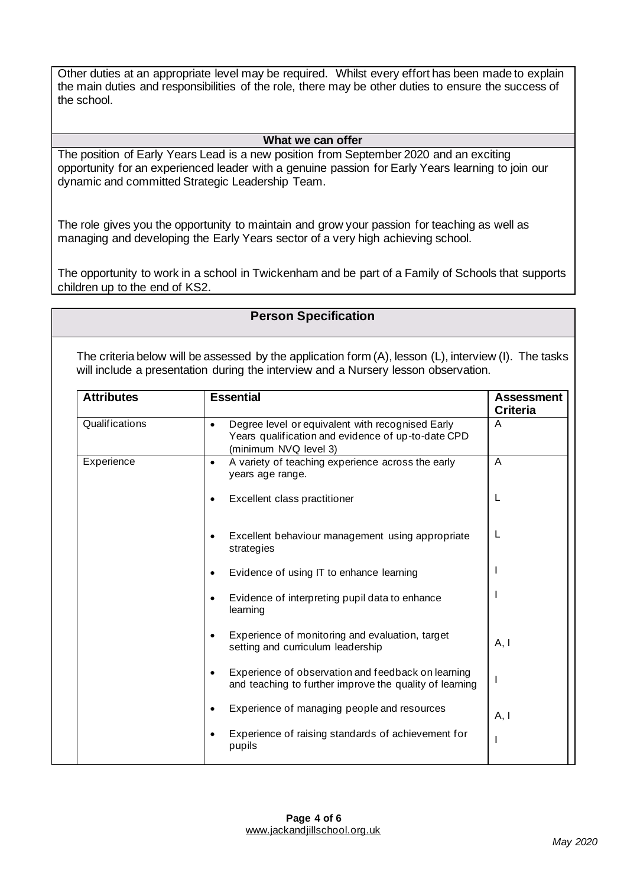Other duties at an appropriate level may be required. Whilst every effort has been made to explain the main duties and responsibilities of the role, there may be other duties to ensure the success of the school.

#### **What we can offer**

The position of Early Years Lead is a new position from September 2020 and an exciting opportunity for an experienced leader with a genuine passion for Early Years learning to join our dynamic and committed Strategic Leadership Team.

The role gives you the opportunity to maintain and grow your passion for teaching as well as managing and developing the Early Years sector of a very high achieving school.

The opportunity to work in a school in Twickenham and be part of a Family of Schools that supports children up to the end of KS2.

### **Person Specification**

The criteria below will be assessed by the application form (A), lesson (L), interview (I). The tasks will include a presentation during the interview and a Nursery lesson observation.

| <b>Attributes</b> | <b>Essential</b>                                                                                                                             | <b>Assessment</b><br><b>Criteria</b> |
|-------------------|----------------------------------------------------------------------------------------------------------------------------------------------|--------------------------------------|
| Qualifications    | Degree level or equivalent with recognised Early<br>$\bullet$<br>Years qualification and evidence of up-to-date CPD<br>(minimum NVQ level 3) | A                                    |
| Experience        | A variety of teaching experience across the early<br>$\bullet$<br>years age range.                                                           | A                                    |
|                   | Excellent class practitioner<br>٠                                                                                                            | L                                    |
|                   | Excellent behaviour management using appropriate<br>٠<br>strategies                                                                          | L                                    |
|                   | Evidence of using IT to enhance learning<br>$\bullet$                                                                                        |                                      |
|                   | Evidence of interpreting pupil data to enhance<br>$\bullet$<br>learning                                                                      |                                      |
|                   | Experience of monitoring and evaluation, target<br>$\bullet$<br>setting and curriculum leadership                                            | A, I                                 |
|                   | Experience of observation and feedback on learning<br>$\bullet$<br>and teaching to further improve the quality of learning                   | $\overline{\phantom{a}}$             |
|                   | Experience of managing people and resources                                                                                                  | A, I                                 |
|                   | Experience of raising standards of achievement for<br>pupils                                                                                 | ı                                    |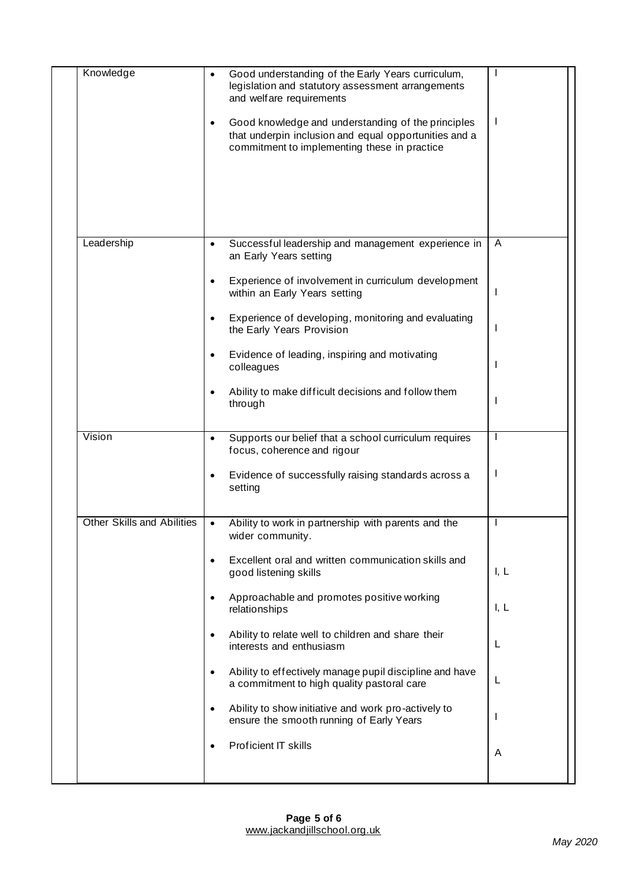| Knowledge                         | $\bullet$ | Good understanding of the Early Years curriculum,<br>legislation and statutory assessment arrangements<br>and welfare requirements                          |              |
|-----------------------------------|-----------|-------------------------------------------------------------------------------------------------------------------------------------------------------------|--------------|
|                                   | $\bullet$ | Good knowledge and understanding of the principles<br>that underpin inclusion and equal opportunities and a<br>commitment to implementing these in practice | J.           |
| Leadership                        | $\bullet$ | Successful leadership and management experience in                                                                                                          | A            |
|                                   |           | an Early Years setting                                                                                                                                      |              |
|                                   | $\bullet$ | Experience of involvement in curriculum development<br>within an Early Years setting                                                                        |              |
|                                   | $\bullet$ | Experience of developing, monitoring and evaluating<br>the Early Years Provision                                                                            | $\mathbf{I}$ |
|                                   | $\bullet$ | Evidence of leading, inspiring and motivating<br>colleagues                                                                                                 | ı            |
|                                   | $\bullet$ | Ability to make difficult decisions and follow them<br>through                                                                                              | ı            |
| Vision                            | $\bullet$ | Supports our belief that a school curriculum requires<br>focus, coherence and rigour                                                                        | $\mathbf{I}$ |
|                                   | $\bullet$ | Evidence of successfully raising standards across a<br>setting                                                                                              | $\mathbf{I}$ |
| <b>Other Skills and Abilities</b> | $\bullet$ | Ability to work in partnership with parents and the<br>wider community.                                                                                     |              |
|                                   | $\bullet$ | Excellent oral and written communication skills and<br>good listening skills                                                                                | I, L         |
|                                   | $\bullet$ | Approachable and promotes positive working<br>relationships                                                                                                 | I, L         |
|                                   | $\bullet$ | Ability to relate well to children and share their<br>interests and enthusiasm                                                                              | L            |
|                                   | $\bullet$ | Ability to effectively manage pupil discipline and have<br>a commitment to high quality pastoral care                                                       | L            |
|                                   | $\bullet$ | Ability to show initiative and work pro-actively to<br>ensure the smooth running of Early Years                                                             | ı            |
|                                   | $\bullet$ | Proficient IT skills                                                                                                                                        | A            |
|                                   |           |                                                                                                                                                             |              |